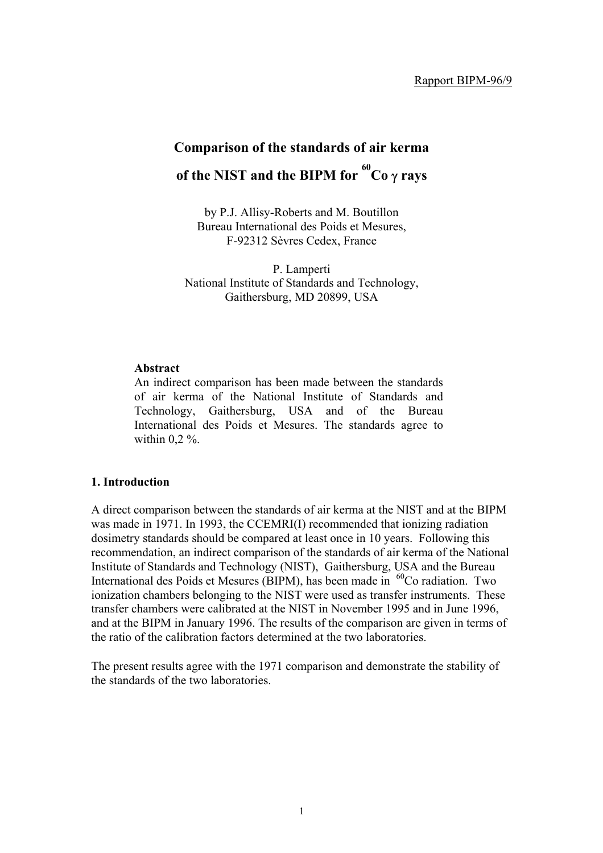# **Comparison of the standards of air kerma of the NIST and the BIPM for <sup>60</sup> Co** γ **rays**

by P.J. Allisy-Roberts and M. Boutillon Bureau International des Poids et Mesures, F-92312 Sèvres Cedex, France

P. Lamperti National Institute of Standards and Technology, Gaithersburg, MD 20899, USA

#### **Abstract**

An indirect comparison has been made between the standards of air kerma of the National Institute of Standards and Technology, Gaithersburg, USA and of the Bureau International des Poids et Mesures. The standards agree to within  $0.2\%$ .

#### **1. Introduction**

A direct comparison between the standards of air kerma at the NIST and at the BIPM was made in 1971. In 1993, the CCEMRI(I) recommended that ionizing radiation dosimetry standards should be compared at least once in 10 years. Following this recommendation, an indirect comparison of the standards of air kerma of the National Institute of Standards and Technology (NIST), Gaithersburg, USA and the Bureau International des Poids et Mesures (BIPM), has been made in <sup>60</sup>Co radiation. Two ionization chambers belonging to the NIST were used as transfer instruments. These transfer chambers were calibrated at the NIST in November 1995 and in June 1996, and at the BIPM in January 1996. The results of the comparison are given in terms of the ratio of the calibration factors determined at the two laboratories.

The present results agree with the 1971 comparison and demonstrate the stability of the standards of the two laboratories.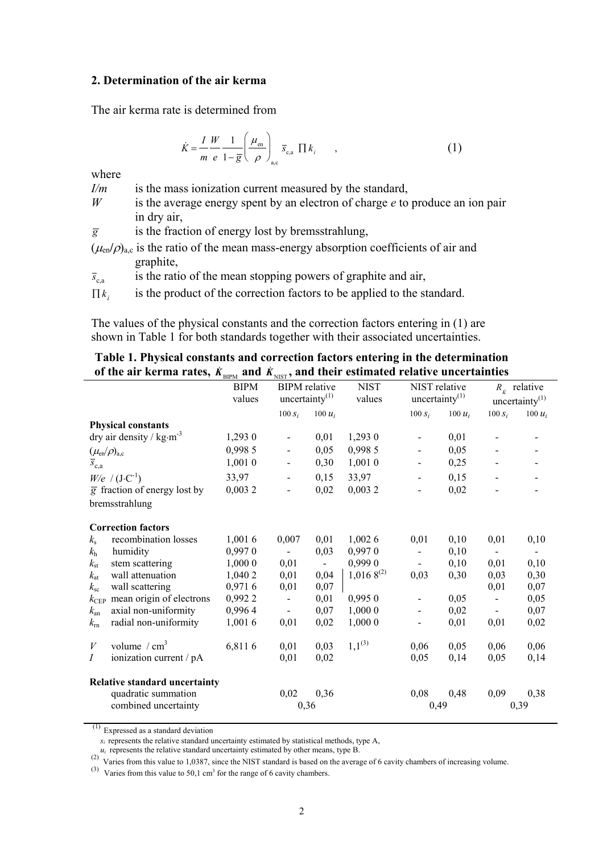### **2. Determination of the air kerma**

The air kerma rate is determined from

$$
\dot{K} = \frac{I}{m} \frac{W}{e} \frac{1}{1 - \overline{g}} \left( \frac{\mu_{\text{en}}}{\rho} \right)_{\text{a,c}} \overline{s}_{\text{c,a}} \prod k_i \tag{1}
$$

where

*I/m* is the mass ionization current measured by the standard,

- *W* is the average energy spent by an electron of charge *e* to produce an ion pair in dry air,
- $\overline{g}$  is the fraction of energy lost by bremsstrahlung,
- $(\mu_{en}/\rho)_{a,c}$  is the ratio of the mean mass-energy absorption coefficients of air and graphite,

 $\bar{s}_{\text{ca}}$  is the ratio of the mean stopping powers of graphite and air,

 $\prod k_i$  is the product of the correction factors to be applied to the standard.

The values of the physical constants and the correction factors entering in (1) are shown in Table 1 for both standards together with their associated uncertainties.

# **Table 1. Physical constants and correction factors entering in the determination** of the air kerma rates,  $K_{\text{BIPM}}$  and  $\dot{K}_{\text{NIST}}$ , and their estimated relative uncertainties

|                                           |                                           | <b>BIPM</b><br>values | <b>BIPM</b> relative<br>uncertainty $(1)$ |                | <b>NIST</b><br>values | NIST relative<br>uncertainty $(1)$ |           |                | $R_{\kappa}$ relative<br>uncertainty $(1)$ |
|-------------------------------------------|-------------------------------------------|-----------------------|-------------------------------------------|----------------|-----------------------|------------------------------------|-----------|----------------|--------------------------------------------|
|                                           |                                           |                       | $100 S_i$                                 | 100 $u_i$      |                       | $100 S_i$                          | 100 $u_i$ | $100 S_i$      | 100 $u_i$                                  |
|                                           | <b>Physical constants</b>                 |                       |                                           |                |                       |                                    |           |                |                                            |
|                                           | dry air density / $kg·m-3$                | 1,293 0               | $\blacksquare$                            | 0,01           | 1,2930                | $\overline{\phantom{0}}$           | 0,01      |                |                                            |
| $(\mu_{\text{\rm en}}/\rho)_{\text{a,c}}$ |                                           | 0,998 5               |                                           | 0,05           | 0,998 5               | $\qquad \qquad \blacksquare$       | 0,05      |                |                                            |
| $\overline{s}_{c,a}$                      |                                           | 1,0010                |                                           | 0,30           | 1,001 0               | $\overline{\phantom{m}}$           | 0,25      |                |                                            |
|                                           | $W/e$ / $(J \cdot C^{-1})$                | 33,97                 | $\overline{\phantom{0}}$                  | 0,15           | 33,97                 | $\overline{\phantom{a}}$           | 0,15      |                |                                            |
|                                           | $\overline{g}$ fraction of energy lost by | 0,0032                | $\overline{\phantom{0}}$                  | 0,02           | 0,0032                | $\overline{a}$                     | 0,02      |                |                                            |
|                                           | bremsstrahlung                            |                       |                                           |                |                       |                                    |           |                |                                            |
|                                           | <b>Correction factors</b>                 |                       |                                           |                |                       |                                    |           |                |                                            |
| $k_{\rm s}$                               | recombination losses                      | 1,0016                | 0,007                                     | 0,01           | 1,0026                | 0,01                               | 0,10      | 0,01           | 0,10                                       |
| $k_{\rm h}$                               | humidity                                  | 0,9970                | $\blacksquare$                            | 0,03           | 0,9970                | $\blacksquare$                     | 0,10      | $\blacksquare$ | $\overline{\phantom{a}}$                   |
| $k_{\rm st}$                              | stem scattering                           | 1,000 0               | 0,01                                      | $\blacksquare$ | 0,999 0               | $\blacksquare$                     | 0,10      | 0,01           | 0,10                                       |
| $k_{\rm at}$                              | wall attenuation                          | 1,040 2               | 0,01                                      | 0,04           | $1,0168^{(2)}$        | 0,03                               | 0,30      | 0,03           | 0,30                                       |
| $k_{\rm sc}$                              | wall scattering                           | 0,9716                | 0,01                                      | 0,07           |                       |                                    |           | 0,01           | 0,07                                       |
| $k_{\rm CEP}$                             | mean origin of electrons                  | 0,9922                |                                           | 0,01           | 0,9950                | $\overline{\phantom{m}}$           | 0,05      |                | 0,05                                       |
| $k_{\rm an}$                              | axial non-uniformity                      | 0,9964                | $\sim$                                    | 0,07           | 1,000 0               | $\blacksquare$                     | 0,02      | $\blacksquare$ | 0,07                                       |
| $k_{\rm rn}$                              | radial non-uniformity                     | 1,0016                | 0,01                                      | 0,02           | 1,0000                |                                    | 0,01      | 0,01           | 0,02                                       |
| $\boldsymbol{V}$                          | volume $/cm3$                             | 6,8116                | 0,01                                      | 0,03           | $1,1^{(3)}$           | 0,06                               | 0,05      | 0,06           | 0,06                                       |
| Ι                                         | ionization current / pA                   |                       | 0,01                                      | 0,02           |                       | 0,05                               | 0,14      | 0,05           | 0,14                                       |
|                                           | Relative standard uncertainty             |                       |                                           |                |                       |                                    |           |                |                                            |
|                                           | quadratic summation                       |                       | 0,02                                      | 0,36           |                       | 0,08                               | 0,48      | 0,09           | 0,38                                       |
|                                           | combined uncertainty                      |                       | 0,36                                      |                |                       | 0,49                               |           |                | 0,39                                       |

 $(1)$  Expressed as a standard deviation

 $u_i$  represents the relative standard uncertainty estimated by other means, type B.

 $\frac{u_i}{2}$  Varies from this value to 1,0387, since the NIST standard is based on the average of 6 cavity chambers of increasing volume.

<sup>(3)</sup> Varies from this value to 50,1 cm<sup>3</sup> for the range of 6 cavity chambers.

 $s_i$  represents the relative standard uncertainty estimated by statistical methods, type A,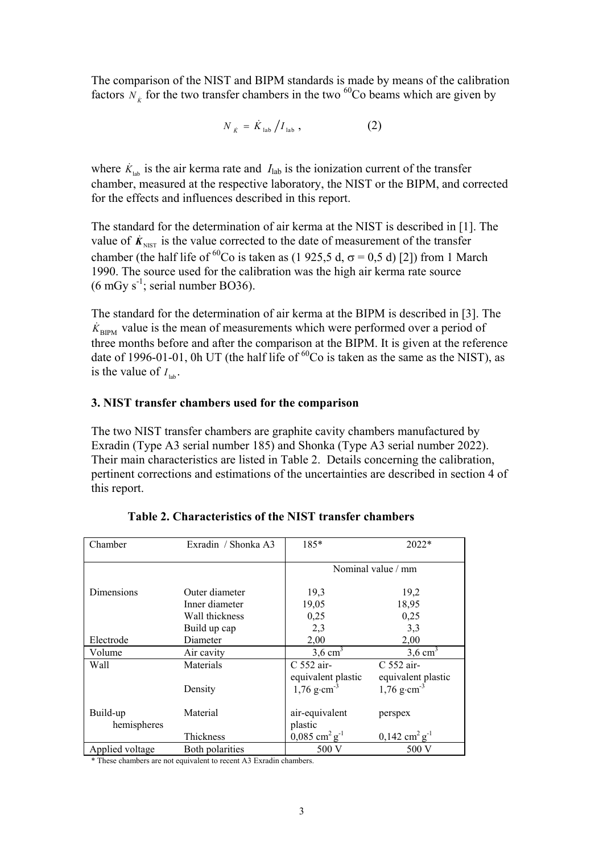The comparison of the NIST and BIPM standards is made by means of the calibration factors  $N_k$  for the two transfer chambers in the two <sup>60</sup>Co beams which are given by

$$
N_{\dot{K}} = \dot{K}_{\text{lab}} / I_{\text{lab}} \,, \tag{2}
$$

where  $\dot{K}_{\text{lab}}$  is the air kerma rate and  $I_{\text{lab}}$  is the ionization current of the transfer chamber, measured at the respective laboratory, the NIST or the BIPM, and corrected for the effects and influences described in this report.

The standard for the determination of air kerma at the NIST is described in [1]. The value of  $\dot{K}_{NIST}$  is the value corrected to the date of measurement of the transfer chamber (the half life of <sup>60</sup>Co is taken as (1 925,5 d,  $\sigma$  = 0,5 d) [2]) from 1 March 1990. The source used for the calibration was the high air kerma rate source  $(6 \text{ mGy s}^{-1})$ ; serial number BO36).

The standard for the determination of air kerma at the BIPM is described in [3]. The  $\dot{K}_{\text{BIPM}}$  value is the mean of measurements which were performed over a period of three months before and after the comparison at the BIPM. It is given at the reference date of 1996-01-01, 0h UT (the half life of  ${}^{60}Co$  is taken as the same as the NIST), as is the value of  $I_{\text{lab}}$ .

# **3. NIST transfer chambers used for the comparison**

The two NIST transfer chambers are graphite cavity chambers manufactured by Exradin (Type A3 serial number 185) and Shonka (Type A3 serial number 2022). Their main characteristics are listed in Table 2. Details concerning the calibration, pertinent corrections and estimations of the uncertainties are described in section 4 of this report.

| Chamber                 | Exradin / Shonka A3 | $185*$                                  | $2022*$                             |  |
|-------------------------|---------------------|-----------------------------------------|-------------------------------------|--|
|                         |                     | Nominal value / mm                      |                                     |  |
| Dimensions              | Outer diameter      | 19,3                                    | 19,2                                |  |
|                         | Inner diameter      | 19,05                                   | 18,95                               |  |
|                         | Wall thickness      | 0,25                                    | 0,25                                |  |
|                         | Build up cap        | 2,3                                     | 3,3                                 |  |
| Electrode               | Diameter            | 2,00                                    | 2,00                                |  |
| Volume                  | Air cavity          | $3.6 \text{ cm}^3$                      | $3,6$ cm <sup>3</sup>               |  |
| Wall                    | Materials           | C 552 air-                              | $C$ 552 air-                        |  |
|                         |                     | equivalent plastic                      | equivalent plastic                  |  |
|                         | Density             | $1,76$ g·cm <sup>-3</sup>               | $1,76$ g·cm <sup>-3</sup>           |  |
| Build-up<br>hemispheres | Material            | air-equivalent<br>plastic               | perspex                             |  |
|                         | Thickness           | $0,085$ cm <sup>2</sup> g <sup>-1</sup> | $0,142 \text{ cm}^2 \text{ g}^{-1}$ |  |
| Applied voltage         | Both polarities     | 500 V                                   | 500 V                               |  |

**Table 2. Characteristics of the NIST transfer chambers**

\* These chambers are not equivalent to recent A3 Exradin chambers.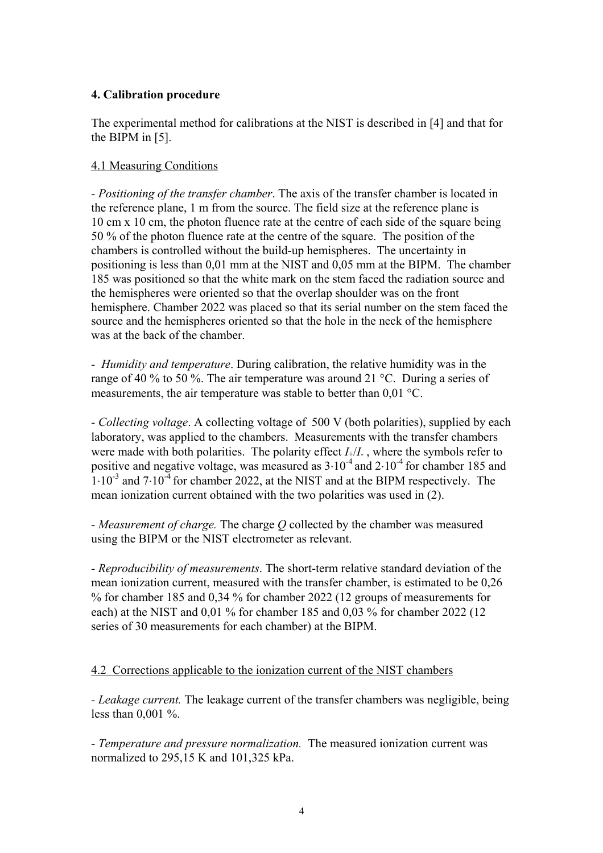# **4. Calibration procedure**

The experimental method for calibrations at the NIST is described in [4] and that for the BIPM in [5].

# 4.1 Measuring Conditions

*- Positioning of the transfer chamber*. The axis of the transfer chamber is located in the reference plane, 1 m from the source. The field size at the reference plane is 10 cm x 10 cm, the photon fluence rate at the centre of each side of the square being 50 % of the photon fluence rate at the centre of the square. The position of the chambers is controlled without the build-up hemispheres. The uncertainty in positioning is less than 0,01 mm at the NIST and 0,05 mm at the BIPM. The chamber 185 was positioned so that the white mark on the stem faced the radiation source and the hemispheres were oriented so that the overlap shoulder was on the front hemisphere. Chamber 2022 was placed so that its serial number on the stem faced the source and the hemispheres oriented so that the hole in the neck of the hemisphere was at the back of the chamber.

*- Humidity and temperature*. During calibration, the relative humidity was in the range of 40 % to 50 %. The air temperature was around 21 °C. During a series of measurements, the air temperature was stable to better than 0,01 °C.

*- Collecting voltage*. A collecting voltage of 500 V (both polarities), supplied by each laboratory, was applied to the chambers. Measurements with the transfer chambers were made with both polarities. The polarity effect  $I_+/I_-$ , where the symbols refer to positive and negative voltage, was measured as  $3 \cdot 10^{-4}$  and  $2 \cdot 10^{-4}$  for chamber 185 and  $1·10<sup>-3</sup>$  and  $7·10<sup>-4</sup>$  for chamber 2022, at the NIST and at the BIPM respectively. The mean ionization current obtained with the two polarities was used in (2).

*- Measurement of charge.* The charge *Q* collected by the chamber was measured using the BIPM or the NIST electrometer as relevant.

*- Reproducibility of measurements*. The short-term relative standard deviation of the mean ionization current, measured with the transfer chamber, is estimated to be 0,26 % for chamber 185 and 0,34 % for chamber 2022 (12 groups of measurements for each) at the NIST and 0,01 % for chamber 185 and 0,03 % for chamber 2022 (12 series of 30 measurements for each chamber) at the BIPM.

# 4.2 Corrections applicable to the ionization current of the NIST chambers

*- Leakage current.* The leakage current of the transfer chambers was negligible, being less than 0,001 %.

*- Temperature and pressure normalization.* The measured ionization current was normalized to 295,15 K and 101,325 kPa.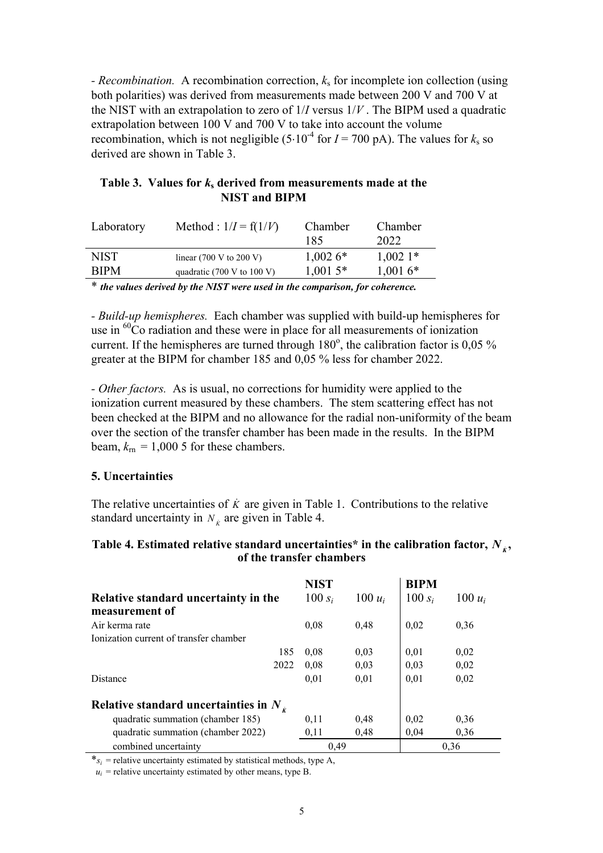*- Recombination.* A recombination correction, *k*s for incomplete ion collection (using both polarities) was derived from measurements made between 200 V and 700 V at the NIST with an extrapolation to zero of 1/*I* versus 1/*V* . The BIPM used a quadratic extrapolation between 100 V and 700 V to take into account the volume recombination, which is not negligible  $(5.10^{-4}$  for  $I = 700$  pA). The values for  $k_s$  so derived are shown in Table 3.

## Table 3. Values for *k*<sub>s</sub> derived from measurements made at the **NIST and BIPM**

| Laboratory  | Method : $1/I = f(1/V)$                       | Chamber<br>185 | Chamber<br>2022 |
|-------------|-----------------------------------------------|----------------|-----------------|
| NIST        | linear $(700 \text{ V to } 200 \text{ V})$    | $1,0026*$      | $1,002$ 1*      |
| <b>RIPM</b> | quadratic $(700 \text{ V to } 100 \text{ V})$ | $1,001.5*$     | $1,0016*$       |

\* *the values derived by the NIST were used in the comparison, for coherence.*

*- Build-up hemispheres.* Each chamber was supplied with build-up hemispheres for use in <sup>60</sup>Co radiation and these were in place for all measurements of ionization current. If the hemispheres are turned through  $180^\circ$ , the calibration factor is 0,05 % greater at the BIPM for chamber 185 and 0,05 % less for chamber 2022.

*- Other factors.* As is usual, no corrections for humidity were applied to the ionization current measured by these chambers. The stem scattering effect has not been checked at the BIPM and no allowance for the radial non-uniformity of the beam over the section of the transfer chamber has been made in the results. In the BIPM beam,  $k_{\text{rn}} = 1,000$  5 for these chambers.

### **5. Uncertainties**

The relative uncertainties of  $\dot{K}$  are given in Table 1. Contributions to the relative standard uncertainty in  $N_k$  are given in Table 4.

## **Table 4. Estimated relative standard uncertainties\* in the calibration factor,**  $N_{\kappa}$ **, of the transfer chambers**

|                                                 | <b>NIST</b> |           | <b>BIPM</b> |           |
|-------------------------------------------------|-------------|-----------|-------------|-----------|
| Relative standard uncertainty in the            | 100 $s_i$   | $100 u_i$ | 100 $s_i$   | $100 u_i$ |
| measurement of                                  |             |           |             |           |
| Air kerma rate                                  | 0,08        | 0,48      | 0,02        | 0,36      |
| Ionization current of transfer chamber          |             |           |             |           |
| 185                                             | 0.08        | 0.03      | 0.01        | 0.02      |
| 2022                                            | 0.08        | 0,03      | 0.03        | 0,02      |
| Distance                                        | 0,01        | 0,01      | 0.01        | 0,02      |
| Relative standard uncertainties in $N_{\kappa}$ |             |           |             |           |
| quadratic summation (chamber 185)               | 0.11        | 0,48      | 0.02        | 0.36      |
| quadratic summation (chamber 2022)              | 0,11        | 0,48      | 0.04        | 0,36      |
| combined uncertainty                            | 0.49        |           |             | 0,36      |

 $*_s_i$  = relative uncertainty estimated by statistical methods, type A,

 $u_i$  = relative uncertainty estimated by other means, type B.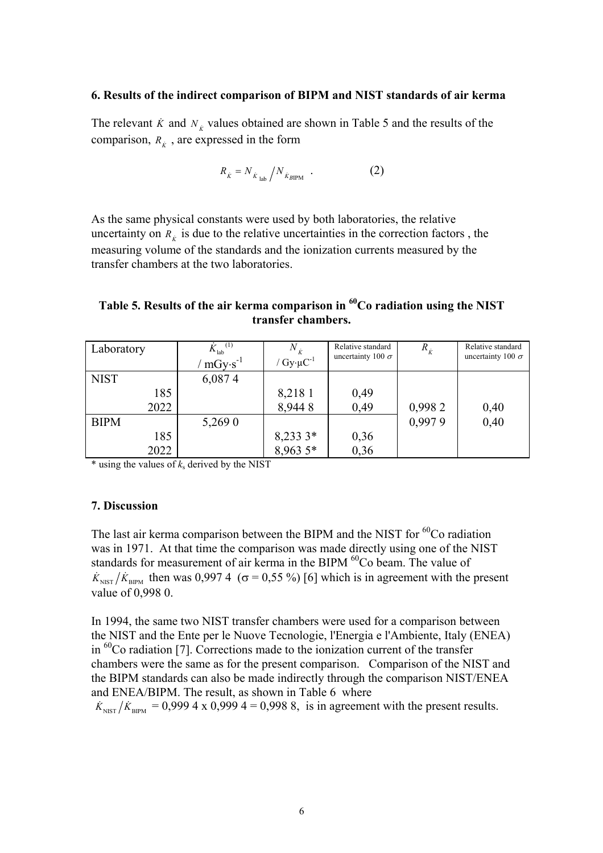#### **6. Results of the indirect comparison of BIPM and NIST standards of air kerma**

The relevant  $\dot{K}$  and  $N_k$  values obtained are shown in Table 5 and the results of the comparison,  $R_k$ , are expressed in the form

$$
R_{\dot{K}} = N_{\dot{K}_{\text{lab}}} / N_{\dot{K}_{\text{BIPM}}} \quad . \tag{2}
$$

As the same physical constants were used by both laboratories, the relative uncertainty on  $R_k$  is due to the relative uncertainties in the correction factors, the measuring volume of the standards and the ionization currents measured by the transfer chambers at the two laboratories.

# **Table 5. Results of the air kerma comparison in 60Co radiation using the NIST transfer chambers.**

| Laboratory  | (1)<br>$K_{\text{lab}}$<br>$mGy \cdot s^{-1}$ | $N_{\dot{v}}$<br>/ $Gy \cdot \mu C^{-1}$ | Relative standard<br>uncertainty 100 $\sigma$ | $R_{\dot{K}}$ | Relative standard<br>uncertainty 100 $\sigma$ |
|-------------|-----------------------------------------------|------------------------------------------|-----------------------------------------------|---------------|-----------------------------------------------|
| <b>NIST</b> | 6,0874                                        |                                          |                                               |               |                                               |
| 185         |                                               | 8,218 1                                  | 0,49                                          |               |                                               |
| 2022        |                                               | 8,9448                                   | 0,49                                          | 0,9982        | 0,40                                          |
| <b>BIPM</b> | 5,269 0                                       |                                          |                                               | 0,9979        | 0,40                                          |
| 185         |                                               | 8,233 3*<br>8,963 5*                     | 0,36                                          |               |                                               |
| 2022        |                                               |                                          | 0,36                                          |               |                                               |

 $*$  using the values of  $k_s$  derived by the NIST

## **7. Discussion**

The last air kerma comparison between the BIPM and the NIST for  ${}^{60}$ Co radiation was in 1971. At that time the comparison was made directly using one of the NIST standards for measurement of air kerma in the BIPM <sup>60</sup>Co beam. The value of  $\dot{K}_{NIST}/\dot{K}_{BIPM}$  then was 0,997 4 ( $\sigma$  = 0,55 %) [6] which is in agreement with the present value of 0,998 0.

In 1994, the same two NIST transfer chambers were used for a comparison between the NIST and the Ente per le Nuove Tecnologie, l'Energia e l'Ambiente, Italy (ENEA) in 60Co radiation [7]. Corrections made to the ionization current of the transfer chambers were the same as for the present comparison. Comparison of the NIST and the BIPM standards can also be made indirectly through the comparison NIST/ENEA and ENEA/BIPM. The result, as shown in Table 6 where

 $\dot{K}_{NIST}/\dot{K}_{BIPM} = 0,9994 \times 0,9994 = 0,9988$ , is in agreement with the present results.